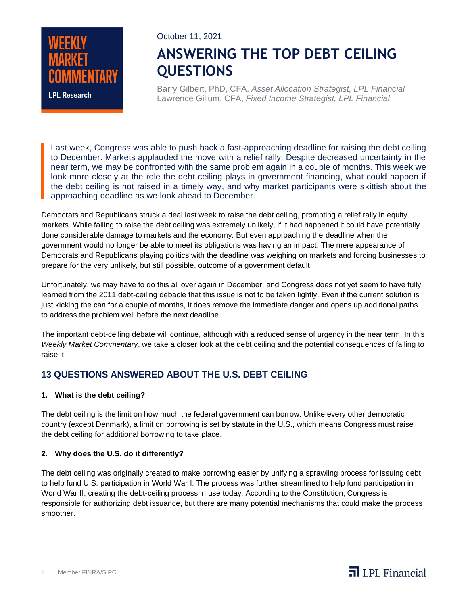

October 11, 2021

# **ANSWERING THE TOP DEBT CEILING QUESTIONS**

Barry Gilbert, PhD, CFA, *Asset Allocation Strategist, LPL Financial* Lawrence Gillum, CFA, *Fixed Income Strategist, LPL Financial*

Last week, Congress was able to push back a fast-approaching deadline for raising the debt ceiling to December. Markets applauded the move with a relief rally. Despite decreased uncertainty in the near term, we may be confronted with the same problem again in a couple of months. This week we look more closely at the role the debt ceiling plays in government financing, what could happen if the debt ceiling is not raised in a timely way, and why market participants were skittish about the approaching deadline as we look ahead to December.

Democrats and Republicans struck a deal last week to raise the debt ceiling, prompting a relief rally in equity markets. While failing to raise the debt ceiling was extremely unlikely, if it had happened it could have potentially done considerable damage to markets and the economy. But even approaching the deadline when the government would no longer be able to meet its obligations was having an impact. The mere appearance of Democrats and Republicans playing politics with the deadline was weighing on markets and forcing businesses to prepare for the very unlikely, but still possible, outcome of a government default.

Unfortunately, we may have to do this all over again in December, and Congress does not yet seem to have fully learned from the 2011 debt-ceiling debacle that this issue is not to be taken lightly. Even if the current solution is just kicking the can for a couple of months, it does remove the immediate danger and opens up additional paths to address the problem well before the next deadline.

The important debt-ceiling debate will continue, although with a reduced sense of urgency in the near term. In this *Weekly Market Commentary*, we take a closer look at the debt ceiling and the potential consequences of failing to raise it.

### **13 QUESTIONS ANSWERED ABOUT THE U.S. DEBT CEILING**

#### **1. What is the debt ceiling?**

The debt ceiling is the limit on how much the federal government can borrow. Unlike every other democratic country (except Denmark), a limit on borrowing is set by statute in the U.S., which means Congress must raise the debt ceiling for additional borrowing to take place.

#### **2. Why does the U.S. do it differently?**

The debt ceiling was originally created to make borrowing easier by unifying a sprawling process for issuing debt to help fund U.S. participation in World War I. The process was further streamlined to help fund participation in World War II, creating the debt-ceiling process in use today. According to the Constitution, Congress is responsible for authorizing debt issuance, but there are many potential mechanisms that could make the process smoother.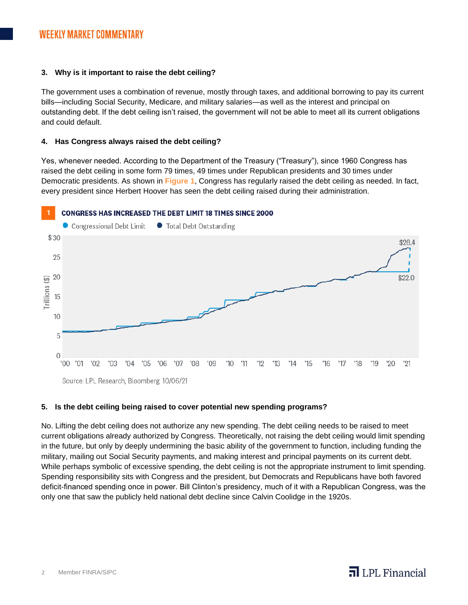#### **3. Why is it important to raise the debt ceiling?**

The government uses a combination of revenue, mostly through taxes, and additional borrowing to pay its current bills—including Social Security, Medicare, and military salaries—as well as the interest and principal on outstanding debt. If the debt ceiling isn't raised, the government will not be able to meet all its current obligations and could default.

#### **4. Has Congress always raised the debt ceiling?**

Yes, whenever needed. According to the Department of the Treasury ("Treasury"), since 1960 Congress has raised the debt ceiling in some form 79 times, 49 times under Republican presidents and 30 times under Democratic presidents. As shown in **Figure 1**, Congress has regularly raised the debt ceiling as needed. In fact, every president since Herbert Hoover has seen the debt ceiling raised during their administration.





#### **5. Is the debt ceiling being raised to cover potential new spending programs?**

No. Lifting the debt ceiling does not authorize any new spending. The debt ceiling needs to be raised to meet current obligations already authorized by Congress. Theoretically, not raising the debt ceiling would limit spending in the future, but only by deeply undermining the basic ability of the government to function, including funding the military, mailing out Social Security payments, and making interest and principal payments on its current debt. While perhaps symbolic of excessive spending, the debt ceiling is not the appropriate instrument to limit spending. Spending responsibility sits with Congress and the president, but Democrats and Republicans have both favored deficit-financed spending once in power. Bill Clinton's presidency, much of it with a Republican Congress, was the only one that saw the publicly held national debt decline since Calvin Coolidge in the 1920s.

# $\overline{\mathbf{a}}$  LPL Financial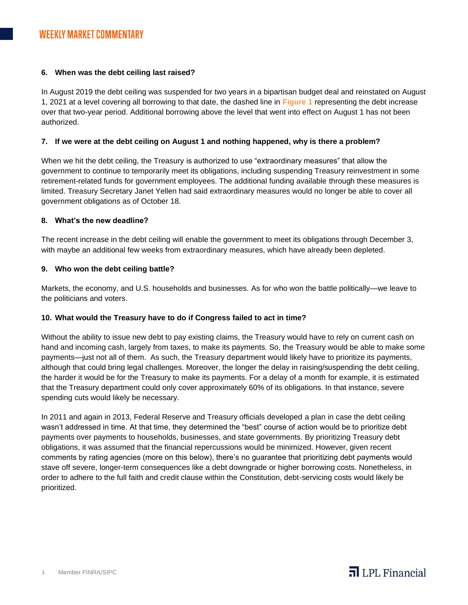#### **6. When was the debt ceiling last raised?**

In August 2019 the debt ceiling was suspended for two years in a bipartisan budget deal and reinstated on August 1, 2021 at a level covering all borrowing to that date, the dashed line in **Figure 1** representing the debt increase over that two-year period. Additional borrowing above the level that went into effect on August 1 has not been authorized.

#### **7. If we were at the debt ceiling on August 1 and nothing happened, why is there a problem?**

When we hit the debt ceiling, the Treasury is authorized to use "extraordinary measures" that allow the government to continue to temporarily meet its obligations, including suspending Treasury reinvestment in some retirement-related funds for government employees. The additional funding available through these measures is limited. Treasury Secretary Janet Yellen had said extraordinary measures would no longer be able to cover all government obligations as of October 18.

#### **8. What's the new deadline?**

The recent increase in the debt ceiling will enable the government to meet its obligations through December 3, with maybe an additional few weeks from extraordinary measures, which have already been depleted.

#### **9. Who won the debt ceiling battle?**

Markets, the economy, and U.S. households and businesses. As for who won the battle politically—we leave to the politicians and voters.

#### **10. What would the Treasury have to do if Congress failed to act in time?**

Without the ability to issue new debt to pay existing claims, the Treasury would have to rely on current cash on hand and incoming cash, largely from taxes, to make its payments. So, the Treasury would be able to make some payments—just not all of them. As such, the Treasury department would likely have to prioritize its payments, although that could bring legal challenges. Moreover, the longer the delay in raising/suspending the debt ceiling, the harder it would be for the Treasury to make its payments. For a delay of a month for example, it is estimated that the Treasury department could only cover approximately 60% of its obligations. In that instance, severe spending cuts would likely be necessary.

In 2011 and again in 2013, Federal Reserve and Treasury officials developed a plan in case the debt ceiling wasn't addressed in time. At that time, they determined the "best" course of action would be to prioritize debt payments over payments to households, businesses, and state governments. By prioritizing Treasury debt obligations, it was assumed that the financial repercussions would be minimized. However, given recent comments by rating agencies (more on this below), there's no guarantee that prioritizing debt payments would stave off severe, longer-term consequences like a debt downgrade or higher borrowing costs. Nonetheless, in order to adhere to the full faith and credit clause within the Constitution, debt-servicing costs would likely be prioritized.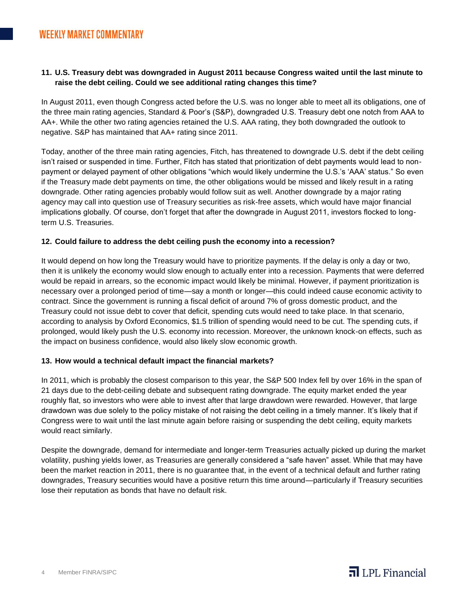#### **11. U.S. Treasury debt was downgraded in August 2011 because Congress waited until the last minute to raise the debt ceiling. Could we see additional rating changes this time?**

In August 2011, even though Congress acted before the U.S. was no longer able to meet all its obligations, one of the three main rating agencies, Standard & Poor's (S&P), downgraded U.S. Treasury debt one notch from AAA to AA+. While the other two rating agencies retained the U.S. AAA rating, they both downgraded the outlook to negative. S&P has maintained that AA+ rating since 2011.

Today, another of the three main rating agencies, Fitch, has threatened to downgrade U.S. debt if the debt ceiling isn't raised or suspended in time. Further, Fitch has stated that prioritization of debt payments would lead to nonpayment or delayed payment of other obligations "which would likely undermine the U.S.'s 'AAA' status." So even if the Treasury made debt payments on time, the other obligations would be missed and likely result in a rating downgrade. Other rating agencies probably would follow suit as well. Another downgrade by a major rating agency may call into question use of Treasury securities as risk-free assets, which would have major financial implications globally. Of course, don't forget that after the downgrade in August 2011, investors flocked to longterm U.S. Treasuries.

#### **12. Could failure to address the debt ceiling push the economy into a recession?**

It would depend on how long the Treasury would have to prioritize payments. If the delay is only a day or two, then it is unlikely the economy would slow enough to actually enter into a recession. Payments that were deferred would be repaid in arrears, so the economic impact would likely be minimal. However, if payment prioritization is necessary over a prolonged period of time—say a month or longer—this could indeed cause economic activity to contract. Since the government is running a fiscal deficit of around 7% of gross domestic product, and the Treasury could not issue debt to cover that deficit, spending cuts would need to take place. In that scenario, according to analysis by Oxford Economics, \$1.5 trillion of spending would need to be cut. The spending cuts, if prolonged, would likely push the U.S. economy into recession. Moreover, the unknown knock-on effects, such as the impact on business confidence, would also likely slow economic growth.

#### **13. How would a technical default impact the financial markets?**

In 2011, which is probably the closest comparison to this year, the S&P 500 Index fell by over 16% in the span of 21 days due to the debt-ceiling debate and subsequent rating downgrade. The equity market ended the year roughly flat, so investors who were able to invest after that large drawdown were rewarded. However, that large drawdown was due solely to the policy mistake of not raising the debt ceiling in a timely manner. It's likely that if Congress were to wait until the last minute again before raising or suspending the debt ceiling, equity markets would react similarly.

Despite the downgrade, demand for intermediate and longer-term Treasuries actually picked up during the market volatility, pushing yields lower, as Treasuries are generally considered a "safe haven" asset. While that may have been the market reaction in 2011, there is no guarantee that, in the event of a technical default and further rating downgrades, Treasury securities would have a positive return this time around—particularly if Treasury securities lose their reputation as bonds that have no default risk.

 $\overline{\mathbf{a}}$  LPL Financial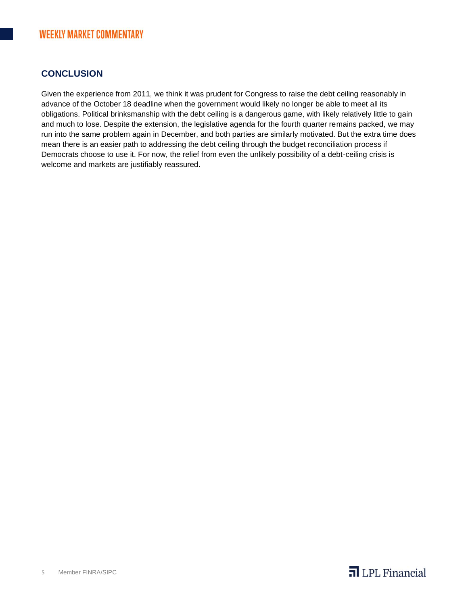## **CONCLUSION**

Given the experience from 2011, we think it was prudent for Congress to raise the debt ceiling reasonably in advance of the October 18 deadline when the government would likely no longer be able to meet all its obligations. Political brinksmanship with the debt ceiling is a dangerous game, with likely relatively little to gain and much to lose. Despite the extension, the legislative agenda for the fourth quarter remains packed, we may run into the same problem again in December, and both parties are similarly motivated. But the extra time does mean there is an easier path to addressing the debt ceiling through the budget reconciliation process if Democrats choose to use it. For now, the relief from even the unlikely possibility of a debt-ceiling crisis is welcome and markets are justifiably reassured.